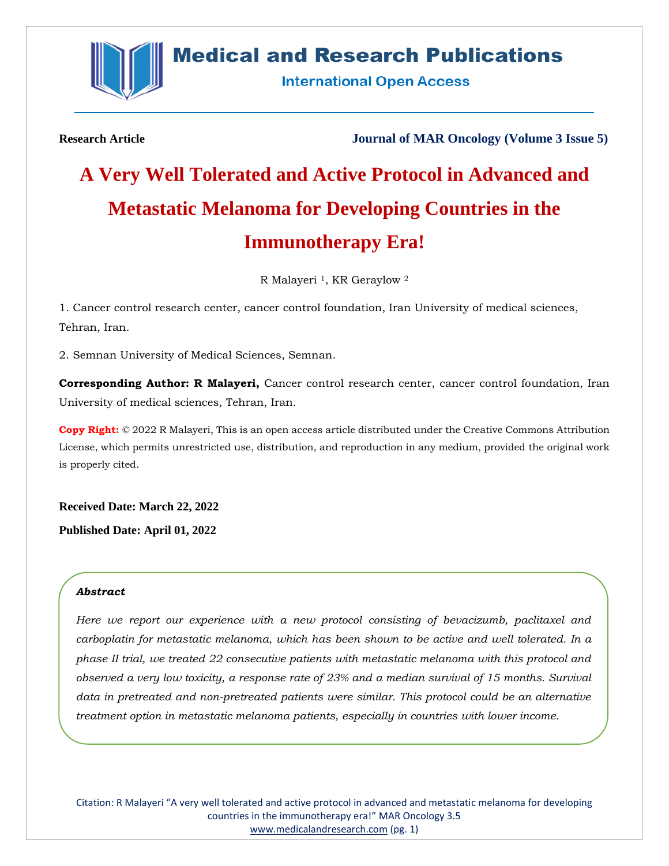

# **Medical and Research Publications**

**International Open Access** 

**Research Article Journal of MAR Oncology (Volume 3 Issue 5)**

# **A Very Well Tolerated and Active Protocol in Advanced and Metastatic Melanoma for Developing Countries in the Immunotherapy Era!**

R Malayeri<sup>1</sup>, KR Geraylow<sup>2</sup>

1. Cancer control research center, cancer control foundation, Iran University of medical sciences, Tehran, Iran.

2. Semnan University of Medical Sciences, Semnan.

**Corresponding Author: R Malayeri,** Cancer control research center, cancer control foundation, Iran University of medical sciences, Tehran, Iran.

**Copy Right:** © 2022 R Malayeri, This is an open access article distributed under the Creative Commons Attribution License, which permits unrestricted use, distribution, and reproduction in any medium, provided the original work is properly cited.

**Received Date: March 22, 2022 Published Date: April 01, 2022**

#### *Abstract*

*Here we report our experience with a new protocol consisting of bevacizumb, paclitaxel and carboplatin for metastatic melanoma, which has been shown to be active and well tolerated. In a phase II trial, we treated 22 consecutive patients with metastatic melanoma with this protocol and observed a very low toxicity, a response rate of 23% and a median survival of 15 months. Survival data in pretreated and non-pretreated patients were similar. This protocol could be an alternative treatment option in metastatic melanoma patients, especially in countries with lower income.*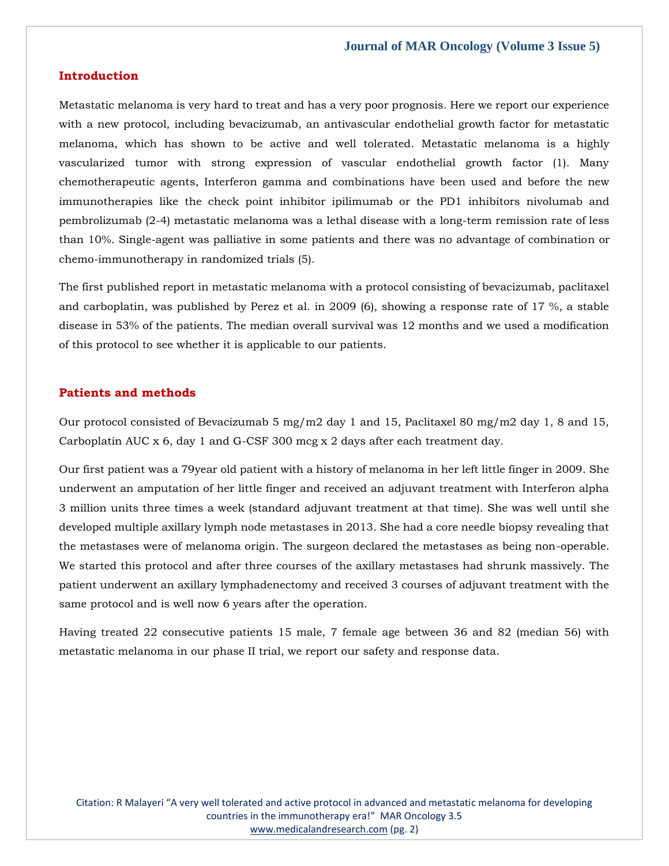#### **Introduction**

Metastatic melanoma is very hard to treat and has a very poor prognosis. Here we report our experience with a new protocol, including bevacizumab, an antivascular endothelial growth factor for metastatic melanoma, which has shown to be active and well tolerated. Metastatic melanoma is a highly vascularized tumor with strong expression of vascular endothelial growth factor (1). Many chemotherapeutic agents, Interferon gamma and combinations have been used and before the new immunotherapies like the check point inhibitor ipilimumab or the PD1 inhibitors nivolumab and pembrolizumab (2-4) metastatic melanoma was a lethal disease with a long-term remission rate of less than 10%. Single-agent was palliative in some patients and there was no advantage of combination or chemo-immunotherapy in randomized trials (5).

The first published report in metastatic melanoma with a protocol consisting of bevacizumab, paclitaxel and carboplatin, was published by Perez et al. in 2009 (6), showing a response rate of 17 %, a stable disease in 53% of the patients. The median overall survival was 12 months and we used a modification of this protocol to see whether it is applicable to our patients.

#### **Patients and methods**

Our protocol consisted of Bevacizumab 5 mg/m2 day 1 and 15, Paclitaxel 80 mg/m2 day 1, 8 and 15, Carboplatin AUC x 6, day 1 and G-CSF 300 mcg x 2 days after each treatment day.

Our first patient was a 79year old patient with a history of melanoma in her left little finger in 2009. She underwent an amputation of her little finger and received an adjuvant treatment with Interferon alpha 3 million units three times a week (standard adjuvant treatment at that time). She was well until she developed multiple axillary lymph node metastases in 2013. She had a core needle biopsy revealing that the metastases were of melanoma origin. The surgeon declared the metastases as being non-operable. We started this protocol and after three courses of the axillary metastases had shrunk massively. The patient underwent an axillary lymphadenectomy and received 3 courses of adjuvant treatment with the same protocol and is well now 6 years after the operation.

Having treated 22 consecutive patients 15 male, 7 female age between 36 and 82 (median 56) with metastatic melanoma in our phase II trial, we report our safety and response data.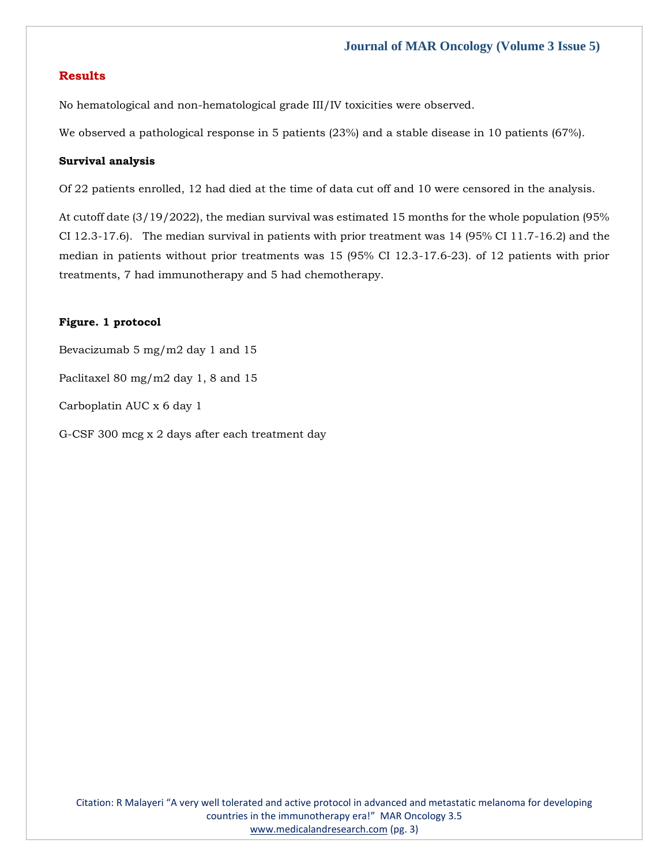# **Results**

No hematological and non-hematological grade III/IV toxicities were observed.

We observed a pathological response in 5 patients (23%) and a stable disease in 10 patients (67%).

## **Survival analysis**

Of 22 patients enrolled, 12 had died at the time of data cut off and 10 were censored in the analysis.

At cutoff date (3/19/2022), the median survival was estimated 15 months for the whole population (95% CI 12.3-17.6). The median survival in patients with prior treatment was 14 (95% CI 11.7-16.2) and the median in patients without prior treatments was 15 (95% CI 12.3-17.6-23). of 12 patients with prior treatments, 7 had immunotherapy and 5 had chemotherapy.

# **Figure. 1 protocol**

Bevacizumab 5 mg/m2 day 1 and 15 Paclitaxel 80 mg/m2 day 1, 8 and 15 Carboplatin AUC x 6 day 1 G-CSF 300 mcg x 2 days after each treatment day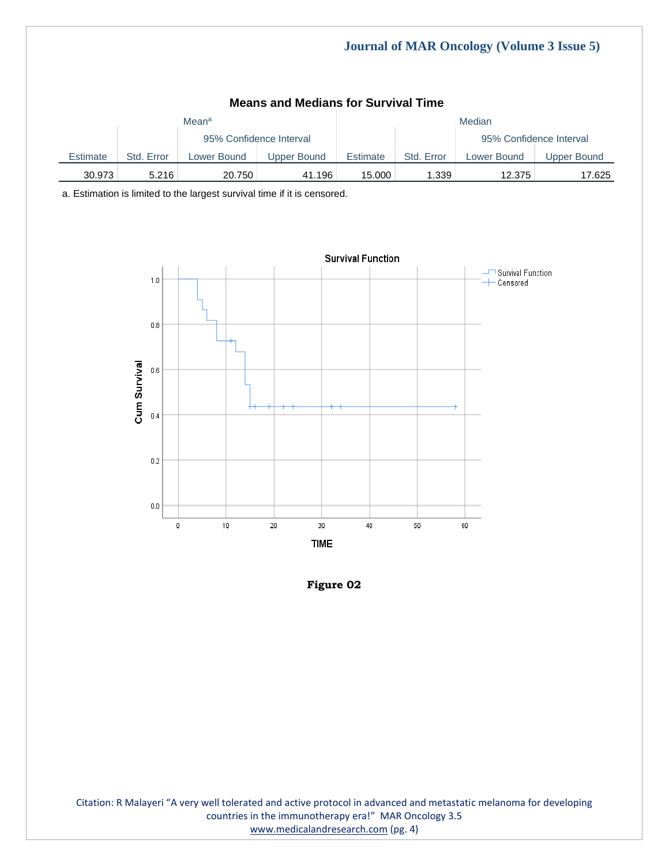| <b>Means and Medians for Survival Time</b> |            |                   |                         |          |            |                         |             |  |
|--------------------------------------------|------------|-------------------|-------------------------|----------|------------|-------------------------|-------------|--|
|                                            |            | Mean <sup>a</sup> |                         | Median   |            |                         |             |  |
|                                            |            |                   | 95% Confidence Interval |          |            | 95% Confidence Interval |             |  |
| Estimate                                   | Std. Error | Lower Bound       | Upper Bound             | Estimate | Std. Error | Lower Bound             | Upper Bound |  |
| 30.973                                     | 5.216      | 20.750            | 41.196                  | 15.000   | 1.339      | 12.375                  | 17.625      |  |

a. Estimation is limited to the largest survival time if it is censored.





Citation: R Malayeri "A very well tolerated and active protocol in advanced and metastatic melanoma for developing countries in the immunotherapy era!" MAR Oncology 3.5 [www.medicalandresearch.com](http://www.medicalandresearch.com/) (pg. 4)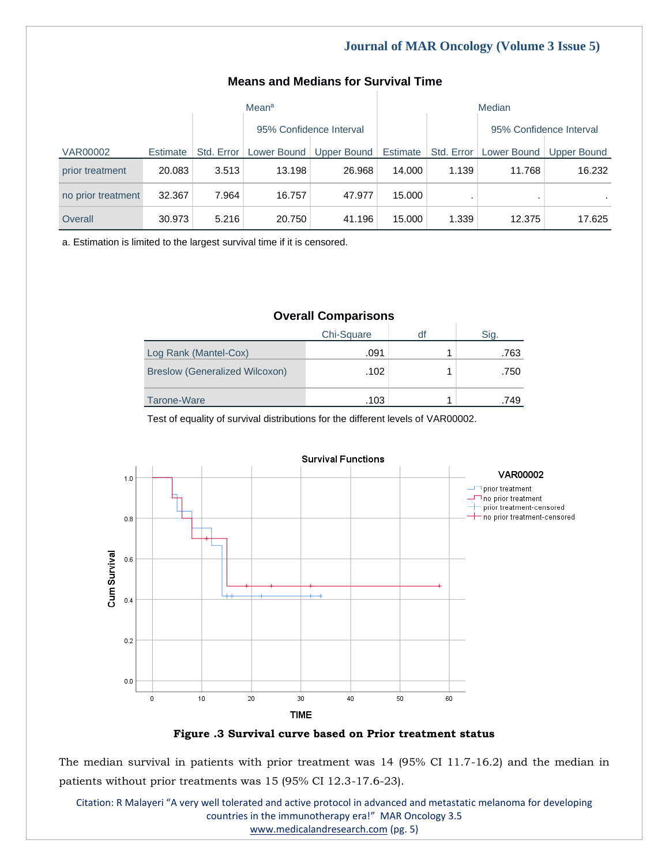# **Means and Medians for Survival Time**

|                    | Mean <sup>a</sup> |       |                         |                                                   | Median |            |                         |             |
|--------------------|-------------------|-------|-------------------------|---------------------------------------------------|--------|------------|-------------------------|-------------|
|                    |                   |       | 95% Confidence Interval |                                                   |        |            | 95% Confidence Interval |             |
| <b>VAR00002</b>    | Estimate          |       |                         | Std. Error   Lower Bound   Upper Bound   Estimate |        | Std. Error | Lower Bound             | Upper Bound |
| prior treatment    | 20.083            | 3.513 | 13.198                  | 26.968                                            | 14.000 | 1.139      | 11.768                  | 16.232      |
| no prior treatment | 32.367            | 7.964 | 16.757                  | 47.977                                            | 15.000 |            |                         |             |
| Overall            | 30.973            | 5.216 | 20.750                  | 41.196                                            | 15.000 | 1.339      | 12.375                  | 17.625      |

a. Estimation is limited to the largest survival time if it is censored.

# **Overall Comparisons**

|                                       | Chi-Square | olu. |
|---------------------------------------|------------|------|
| Log Rank (Mantel-Cox)                 | .091       | .763 |
| <b>Breslow (Generalized Wilcoxon)</b> | .102       | .750 |
| Tarone-Ware                           | .103       | .749 |

Test of equality of survival distributions for the different levels of VAR00002.



**Figure .3 Survival curve based on Prior treatment status**

The median survival in patients with prior treatment was 14 (95% CI 11.7-16.2) and the median in patients without prior treatments was 15 (95% CI 12.3-17.6-23).

Citation: R Malayeri "A very well tolerated and active protocol in advanced and metastatic melanoma for developing countries in the immunotherapy era!" MAR Oncology 3.5 [www.medicalandresearch.com](http://www.medicalandresearch.com/) (pg. 5)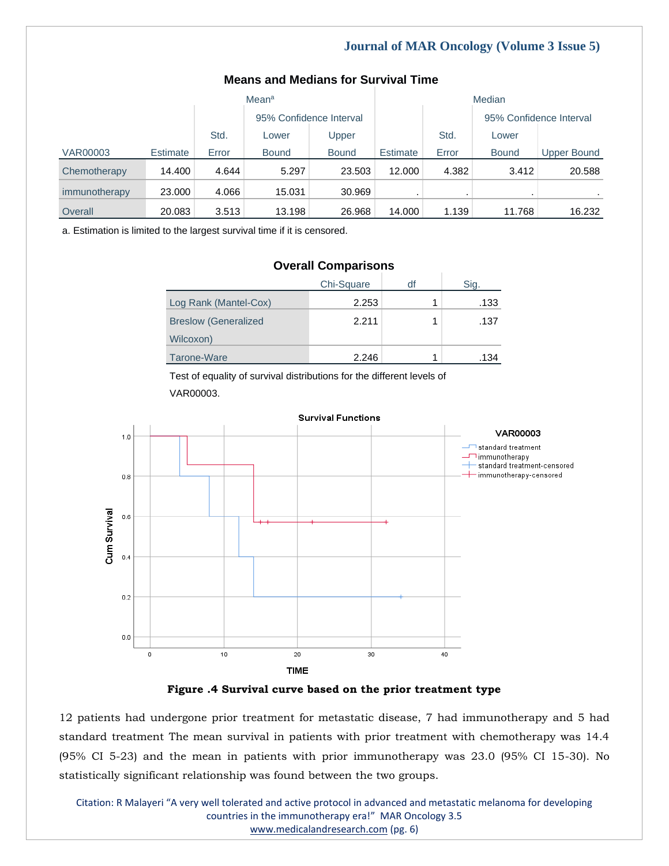| Mean <sup>a</sup> |                 |       |                         |              | Median   |       |                         |                    |
|-------------------|-----------------|-------|-------------------------|--------------|----------|-------|-------------------------|--------------------|
|                   |                 |       | 95% Confidence Interval |              |          |       | 95% Confidence Interval |                    |
|                   |                 | Std.  | Lower                   | Upper        |          | Std.  | Lower                   |                    |
| <b>VAR00003</b>   | <b>Estimate</b> | Error | <b>Bound</b>            | <b>Bound</b> | Estimate | Error | <b>Bound</b>            | <b>Upper Bound</b> |
| Chemotherapy      | 14.400          | 4.644 | 5.297                   | 23.503       | 12.000   | 4.382 | 3.412                   | 20.588             |
| immunotherapy     | 23,000          | 4.066 | 15.031                  | 30.969       |          |       |                         |                    |
| Overall           | 20.083          | 3.513 | 13.198                  | 26.968       | 14.000   | 1.139 | 11.768                  | 16.232             |

# **Means and Medians for Survival Time**

a. Estimation is limited to the largest survival time if it is censored.

| Chi-Square | df | Sig. |
|------------|----|------|
| 2.253      |    | .133 |
| 2.211      |    | .137 |
|            |    |      |
| 2.246      |    | .134 |
|            |    |      |

**Overall Comparisons**

Test of equality of survival distributions for the different levels of VAR00003.



**Figure .4 Survival curve based on the prior treatment type**

12 patients had undergone prior treatment for metastatic disease, 7 had immunotherapy and 5 had standard treatment The mean survival in patients with prior treatment with chemotherapy was 14.4 (95% CI 5-23) and the mean in patients with prior immunotherapy was 23.0 (95% CI 15-30). No statistically significant relationship was found between the two groups.

Citation: R Malayeri "A very well tolerated and active protocol in advanced and metastatic melanoma for developing countries in the immunotherapy era!" MAR Oncology 3.5 [www.medicalandresearch.com](http://www.medicalandresearch.com/) (pg. 6)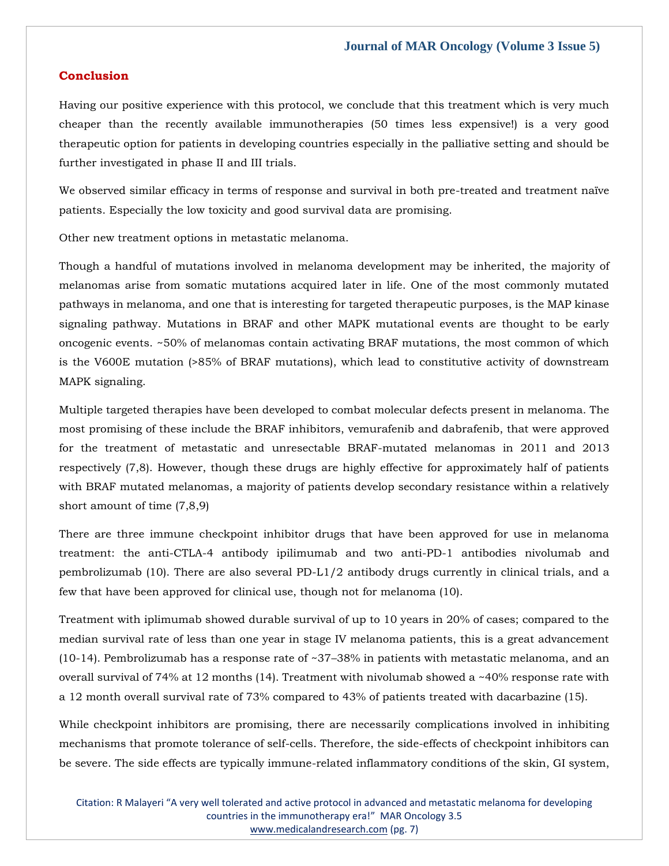## **Conclusion**

Having our positive experience with this protocol, we conclude that this treatment which is very much cheaper than the recently available immunotherapies (50 times less expensive!) is a very good therapeutic option for patients in developing countries especially in the palliative setting and should be further investigated in phase II and III trials.

We observed similar efficacy in terms of response and survival in both pre-treated and treatment naïve patients. Especially the low toxicity and good survival data are promising.

Other new treatment options in metastatic melanoma.

Though a handful of mutations involved in melanoma development may be inherited, the majority of melanomas arise from somatic mutations acquired later in life. One of the most commonly mutated pathways in melanoma, and one that is interesting for targeted therapeutic purposes, is the MAP kinase signaling pathway. Mutations in BRAF and other MAPK mutational events are thought to be early oncogenic events. ~50% of melanomas contain activating BRAF mutations, the most common of which is the V600E mutation (>85% of BRAF mutations), which lead to constitutive activity of downstream MAPK signaling.

Multiple targeted therapies have been developed to combat molecular defects present in melanoma. The most promising of these include the BRAF inhibitors, vemurafenib and dabrafenib, that were approved for the treatment of metastatic and unresectable BRAF-mutated melanomas in 2011 and 2013 respectively (7,8). However, though these drugs are highly effective for approximately half of patients with BRAF mutated melanomas, a majority of patients develop secondary resistance within a relatively short amount of time (7,8,9)

There are three immune checkpoint inhibitor drugs that have been approved for use in melanoma treatment: the anti-CTLA-4 antibody ipilimumab and two anti-PD-1 antibodies nivolumab and pembrolizumab (10). There are also several PD-L1/2 antibody drugs currently in clinical trials, and a few that have been approved for clinical use, though not for melanoma (10).

Treatment with iplimumab showed durable survival of up to 10 years in 20% of cases; compared to the median survival rate of less than one year in stage IV melanoma patients, this is a great advancement (10-14). Pembrolizumab has a response rate of ~37–38% in patients with metastatic melanoma, and an overall survival of 74% at 12 months (14). Treatment with nivolumab showed a ~40% response rate with a 12 month overall survival rate of 73% compared to 43% of patients treated with dacarbazine (15).

While checkpoint inhibitors are promising, there are necessarily complications involved in inhibiting mechanisms that promote tolerance of self-cells. Therefore, the side-effects of checkpoint inhibitors can be severe. The side effects are typically immune-related inflammatory conditions of the skin, GI system,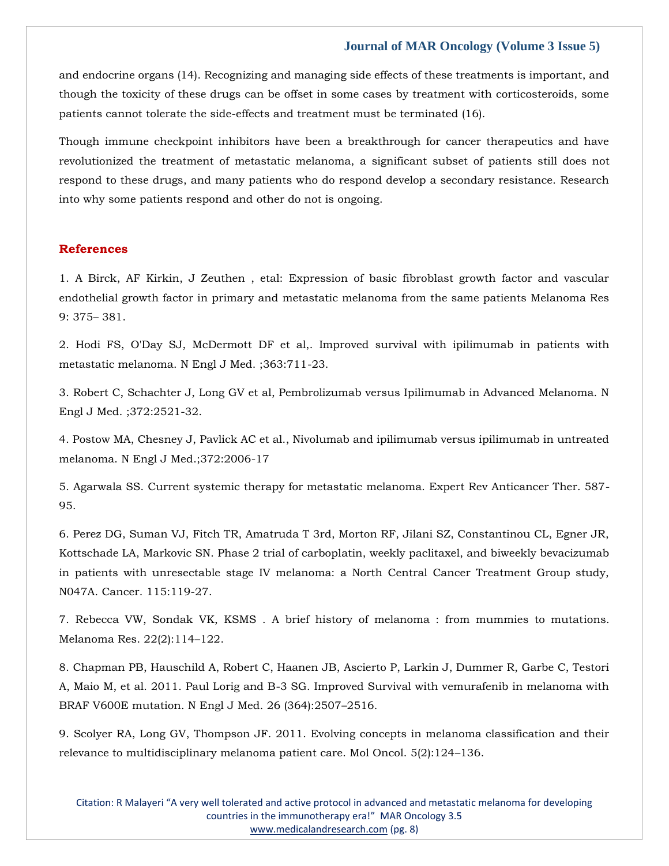and endocrine organs (14). Recognizing and managing side effects of these treatments is important, and though the toxicity of these drugs can be offset in some cases by treatment with corticosteroids, some patients cannot tolerate the side-effects and treatment must be terminated (16).

Though immune checkpoint inhibitors have been a breakthrough for cancer therapeutics and have revolutionized the treatment of metastatic melanoma, a significant subset of patients still does not respond to these drugs, and many patients who do respond develop a secondary resistance. Research into why some patients respond and other do not is ongoing.

## **References**

1. [A Birck, AF Kirkin, J Zeuthen , etal: Expression of basic fibroblast growth factor and vascular](https://www.google.com/search?q=Expression+of+basic+fibroblast+growth+factor+and+vascular+endothelial+growth+factor+in+primary+and+metastatic+melanoma+from+the+same+patients+Melanoma+Res&sxsrf=APq-WBtnPKj-n-nY3ECrSNlSGezcgBCpqw%3A1648101541144&ei=pQg8YtauCL-n2roPx9OTsAU&ved=0ahUKEwiWlafXiN72AhW_k1YBHcfpBFYQ4dUDCA4&oq=Expression+of+basic+fibroblast+growth+factor+and+vascular+endothelial+growth+factor+in+primary+and+metastatic+melanoma+from+the+same+patients+Melanoma+Res&gs_lcp=Cgdnd3Mtd2l6EAwyBwgjEOoCECcyBwgjEOoCECcyBwgjEOoCECcyBwgjEOoCECcyBwgjEOoCECcyBwgjEOoCECcyBwgjEOoCECcyBwgjEOoCECcyBwgjEOoCECcyBwgjEOoCECdKBAhBGABKBAhGGABQFVgVYJEIaAFwAXgAgAEAiAEAkgEAmAEAoAEBoAECsAEKwAEB&sclient=gws-wiz)  [endothelial growth factor in primary and metastatic melanoma from the same patients Melanoma Res](https://www.google.com/search?q=Expression+of+basic+fibroblast+growth+factor+and+vascular+endothelial+growth+factor+in+primary+and+metastatic+melanoma+from+the+same+patients+Melanoma+Res&sxsrf=APq-WBtnPKj-n-nY3ECrSNlSGezcgBCpqw%3A1648101541144&ei=pQg8YtauCL-n2roPx9OTsAU&ved=0ahUKEwiWlafXiN72AhW_k1YBHcfpBFYQ4dUDCA4&oq=Expression+of+basic+fibroblast+growth+factor+and+vascular+endothelial+growth+factor+in+primary+and+metastatic+melanoma+from+the+same+patients+Melanoma+Res&gs_lcp=Cgdnd3Mtd2l6EAwyBwgjEOoCECcyBwgjEOoCECcyBwgjEOoCECcyBwgjEOoCECcyBwgjEOoCECcyBwgjEOoCECcyBwgjEOoCECcyBwgjEOoCECcyBwgjEOoCECcyBwgjEOoCECdKBAhBGABKBAhGGABQFVgVYJEIaAFwAXgAgAEAiAEAkgEAmAEAoAEBoAECsAEKwAEB&sclient=gws-wiz)  [9: 375](https://www.google.com/search?q=Expression+of+basic+fibroblast+growth+factor+and+vascular+endothelial+growth+factor+in+primary+and+metastatic+melanoma+from+the+same+patients+Melanoma+Res&sxsrf=APq-WBtnPKj-n-nY3ECrSNlSGezcgBCpqw%3A1648101541144&ei=pQg8YtauCL-n2roPx9OTsAU&ved=0ahUKEwiWlafXiN72AhW_k1YBHcfpBFYQ4dUDCA4&oq=Expression+of+basic+fibroblast+growth+factor+and+vascular+endothelial+growth+factor+in+primary+and+metastatic+melanoma+from+the+same+patients+Melanoma+Res&gs_lcp=Cgdnd3Mtd2l6EAwyBwgjEOoCECcyBwgjEOoCECcyBwgjEOoCECcyBwgjEOoCECcyBwgjEOoCECcyBwgjEOoCECcyBwgjEOoCECcyBwgjEOoCECcyBwgjEOoCECcyBwgjEOoCECdKBAhBGABKBAhGGABQFVgVYJEIaAFwAXgAgAEAiAEAkgEAmAEAoAEBoAECsAEKwAEB&sclient=gws-wiz)– 381.

2. [Hodi FS, O'Day SJ, McDermott DF et al,. Improved survival with ipilimumab in patients with](https://www.google.com/search?q=Pembrolizumab+versus+Ipilimumab+in+Advanced+Melanoma&sxsrf=APq-WBtnPKj-n-nY3ECrSNlSGezcgBCpqw%3A1648101541144&ei=pQg8YtauCL-n2roPx9OTsAU&ved=0ahUKEwiWlafXiN72AhW_k1YBHcfpBFYQ4dUDCA4&oq=Pembrolizumab+versus+Ipilimumab+in+Advanced+Melanoma&gs_lcp=Cgdnd3Mtd2l6EAxKBAhBGABKBAhGGABQAFgAYABoAHABeACAAQCIAQCSAQCYAQA&sclient=gws-wiz)  [metastatic melanoma. N Engl J Med. ;363:711-23.](https://www.google.com/search?q=Pembrolizumab+versus+Ipilimumab+in+Advanced+Melanoma&sxsrf=APq-WBtnPKj-n-nY3ECrSNlSGezcgBCpqw%3A1648101541144&ei=pQg8YtauCL-n2roPx9OTsAU&ved=0ahUKEwiWlafXiN72AhW_k1YBHcfpBFYQ4dUDCA4&oq=Pembrolizumab+versus+Ipilimumab+in+Advanced+Melanoma&gs_lcp=Cgdnd3Mtd2l6EAxKBAhBGABKBAhGGABQAFgAYABoAHABeACAAQCIAQCSAQCYAQA&sclient=gws-wiz)

3. [Robert C, Schachter J, Long GV et al, Pembrolizumab versus Ipilimumab in Advanced Melanoma. N](https://www.google.com/search?q=Pembrolizumab+versus+Ipilimumab+in+Advanced+Melanoma&sxsrf=APq-WBs8IaMSncn_pA5N1NNhRBZ_VfQ5RA%3A1648101527983&ei=lwg8YvDHO7KP2roP87GpoAg&ved=0ahUKEwiw74PRiN72AhWyh1YBHfNYCoQQ4dUDCA4&oq=Pembrolizumab+versus+Ipilimumab+in+Advanced+Melanoma&gs_lcp=Cgdnd3Mtd2l6EAwyBQgAEIAEMgYIABAWEB46BwgjEOoCECdKBAhBGABKBAhGGABQHFgcYMAFaAFwAXgAgAGZAYgBmQGSAQMwLjGYAQCgAQGgAQKwAQrAAQE&sclient=gws-wiz)  [Engl J Med. ;372:2521-32.](https://www.google.com/search?q=Pembrolizumab+versus+Ipilimumab+in+Advanced+Melanoma&sxsrf=APq-WBs8IaMSncn_pA5N1NNhRBZ_VfQ5RA%3A1648101527983&ei=lwg8YvDHO7KP2roP87GpoAg&ved=0ahUKEwiw74PRiN72AhWyh1YBHfNYCoQQ4dUDCA4&oq=Pembrolizumab+versus+Ipilimumab+in+Advanced+Melanoma&gs_lcp=Cgdnd3Mtd2l6EAwyBQgAEIAEMgYIABAWEB46BwgjEOoCECdKBAhBGABKBAhGGABQHFgcYMAFaAFwAXgAgAGZAYgBmQGSAQMwLjGYAQCgAQGgAQKwAQrAAQE&sclient=gws-wiz)

4. [Postow MA, Chesney J, Pavlick AC et al., Nivolumab and ipilimumab versus ipilimumab in untreated](https://www.google.com/search?q=Nivolumab+and+ipilimumab+versus+ipilimumab+in+untreated+melanoma&sxsrf=APq-WBuFb5_RWPhY002wisSRWrBkNVHBfQ%3A1648101512014&ei=iAg8YooqoN3aug-35oeQCA&ved=0ahUKEwiKjrXJiN72AhWgrlYBHTfzAYIQ4dUDCA4&oq=Nivolumab+and+ipilimumab+versus+ipilimumab+in+untreated+melanoma&gs_lcp=Cgdnd3Mtd2l6EAwyBQgAEIAEOgcIIxDqAhAnSgQIQRgASgQIRhgAUBRYFGCNCWgBcAF4AIABlQGIAZUBkgEDMC4xmAEAoAEBoAECsAEKwAEB&sclient=gws-wiz)  [melanoma. N Engl J Med.;372:2006-17](https://www.google.com/search?q=Nivolumab+and+ipilimumab+versus+ipilimumab+in+untreated+melanoma&sxsrf=APq-WBuFb5_RWPhY002wisSRWrBkNVHBfQ%3A1648101512014&ei=iAg8YooqoN3aug-35oeQCA&ved=0ahUKEwiKjrXJiN72AhWgrlYBHTfzAYIQ4dUDCA4&oq=Nivolumab+and+ipilimumab+versus+ipilimumab+in+untreated+melanoma&gs_lcp=Cgdnd3Mtd2l6EAwyBQgAEIAEOgcIIxDqAhAnSgQIQRgASgQIRhgAUBRYFGCNCWgBcAF4AIABlQGIAZUBkgEDMC4xmAEAoAEBoAECsAEKwAEB&sclient=gws-wiz)

5. [Agarwala SS. Current systemic therapy for metastatic melanoma. Expert Rev Anticancer Ther. 587-](https://www.google.com/search?q=Current+systemic+therapy+for+metastatic+melanoma&sxsrf=APq-WBvaj0NsTDjgf9DknkvLjzYEGtS0Ig%3A1648101496784&ei=eAg8YtO3L9aN2roPud68-AU&ved=0ahUKEwjT05PCiN72AhXWhlYBHTkvD18Q4dUDCA4&oq=Current+systemic+therapy+for+metastatic+melanoma&gs_lcp=Cgdnd3Mtd2l6EAwyCAghEBYQHRAeOgcIIxDqAhAnSgQIQRgASgQIRhgAUCZYJmDRCGgBcAB4AIABsAGIAbABkgEDMC4xmAEAoAEBoAECsAEKwAEB&sclient=gws-wiz) [95.](https://www.google.com/search?q=Current+systemic+therapy+for+metastatic+melanoma&sxsrf=APq-WBvaj0NsTDjgf9DknkvLjzYEGtS0Ig%3A1648101496784&ei=eAg8YtO3L9aN2roPud68-AU&ved=0ahUKEwjT05PCiN72AhXWhlYBHTkvD18Q4dUDCA4&oq=Current+systemic+therapy+for+metastatic+melanoma&gs_lcp=Cgdnd3Mtd2l6EAwyCAghEBYQHRAeOgcIIxDqAhAnSgQIQRgASgQIRhgAUCZYJmDRCGgBcAB4AIABsAGIAbABkgEDMC4xmAEAoAEBoAECsAEKwAEB&sclient=gws-wiz)

6. [Perez DG, Suman VJ, Fitch TR, Amatruda T 3rd, Morton RF, Jilani SZ, Constantinou CL, Egner JR,](https://www.google.com/search?q=Phase+2+trial+of+carboplatin%2C+weekly+paclitaxel%2C+and+biweekly+bevacizumab+in+patients+with+unresectable+stage+IV+melanoma%3A+a+North+Central+Cancer+Treatment+Group+study%2C+N047A&sxsrf=APq-WBuJom1mMvUX5AjjUUuY_gzUpx5CDQ%3A1648101480803&ei=aAg8YtXHMO-k2roPvK6joAE&ved=0ahUKEwjVm8S6iN72AhVvklYBHTzXCBQQ4dUDCA4&oq=Phase+2+trial+of+carboplatin%2C+weekly+paclitaxel%2C+and+biweekly+bevacizumab+in+patients+with+unresectable+stage+IV+melanoma%3A+a+North+Central+Cancer+Treatment+Group+study%2C+N047A&gs_lcp=Cgdnd3Mtd2l6EAwyBwgjEOoCECcyBwgjEOoCECcyBwgjEOoCECcyBwgjEOoCECcyBwgjEOoCECcyBwgjEOoCECcyBwgjEOoCECcyBwgjEOoCECcyBwgjEOoCECcyBwgjEOoCECdKBAhBGABKBAhGGABQF1gXYM4IaAFwAXgAgAEAiAEAkgEAmAEAoAEBoAECsAEKwAEB&sclient=gws-wiz)  [Kottschade LA, Markovic SN. Phase 2 trial of carboplatin, weekly paclitaxel, and biweekly bevacizumab](https://www.google.com/search?q=Phase+2+trial+of+carboplatin%2C+weekly+paclitaxel%2C+and+biweekly+bevacizumab+in+patients+with+unresectable+stage+IV+melanoma%3A+a+North+Central+Cancer+Treatment+Group+study%2C+N047A&sxsrf=APq-WBuJom1mMvUX5AjjUUuY_gzUpx5CDQ%3A1648101480803&ei=aAg8YtXHMO-k2roPvK6joAE&ved=0ahUKEwjVm8S6iN72AhVvklYBHTzXCBQQ4dUDCA4&oq=Phase+2+trial+of+carboplatin%2C+weekly+paclitaxel%2C+and+biweekly+bevacizumab+in+patients+with+unresectable+stage+IV+melanoma%3A+a+North+Central+Cancer+Treatment+Group+study%2C+N047A&gs_lcp=Cgdnd3Mtd2l6EAwyBwgjEOoCECcyBwgjEOoCECcyBwgjEOoCECcyBwgjEOoCECcyBwgjEOoCECcyBwgjEOoCECcyBwgjEOoCECcyBwgjEOoCECcyBwgjEOoCECcyBwgjEOoCECdKBAhBGABKBAhGGABQF1gXYM4IaAFwAXgAgAEAiAEAkgEAmAEAoAEBoAECsAEKwAEB&sclient=gws-wiz)  [in patients with unresectable stage IV melanoma: a North Central Cancer Treatment Group study,](https://www.google.com/search?q=Phase+2+trial+of+carboplatin%2C+weekly+paclitaxel%2C+and+biweekly+bevacizumab+in+patients+with+unresectable+stage+IV+melanoma%3A+a+North+Central+Cancer+Treatment+Group+study%2C+N047A&sxsrf=APq-WBuJom1mMvUX5AjjUUuY_gzUpx5CDQ%3A1648101480803&ei=aAg8YtXHMO-k2roPvK6joAE&ved=0ahUKEwjVm8S6iN72AhVvklYBHTzXCBQQ4dUDCA4&oq=Phase+2+trial+of+carboplatin%2C+weekly+paclitaxel%2C+and+biweekly+bevacizumab+in+patients+with+unresectable+stage+IV+melanoma%3A+a+North+Central+Cancer+Treatment+Group+study%2C+N047A&gs_lcp=Cgdnd3Mtd2l6EAwyBwgjEOoCECcyBwgjEOoCECcyBwgjEOoCECcyBwgjEOoCECcyBwgjEOoCECcyBwgjEOoCECcyBwgjEOoCECcyBwgjEOoCECcyBwgjEOoCECcyBwgjEOoCECdKBAhBGABKBAhGGABQF1gXYM4IaAFwAXgAgAEAiAEAkgEAmAEAoAEBoAECsAEKwAEB&sclient=gws-wiz)  [N047A. Cancer. 115:119-27.](https://www.google.com/search?q=Phase+2+trial+of+carboplatin%2C+weekly+paclitaxel%2C+and+biweekly+bevacizumab+in+patients+with+unresectable+stage+IV+melanoma%3A+a+North+Central+Cancer+Treatment+Group+study%2C+N047A&sxsrf=APq-WBuJom1mMvUX5AjjUUuY_gzUpx5CDQ%3A1648101480803&ei=aAg8YtXHMO-k2roPvK6joAE&ved=0ahUKEwjVm8S6iN72AhVvklYBHTzXCBQQ4dUDCA4&oq=Phase+2+trial+of+carboplatin%2C+weekly+paclitaxel%2C+and+biweekly+bevacizumab+in+patients+with+unresectable+stage+IV+melanoma%3A+a+North+Central+Cancer+Treatment+Group+study%2C+N047A&gs_lcp=Cgdnd3Mtd2l6EAwyBwgjEOoCECcyBwgjEOoCECcyBwgjEOoCECcyBwgjEOoCECcyBwgjEOoCECcyBwgjEOoCECcyBwgjEOoCECcyBwgjEOoCECcyBwgjEOoCECcyBwgjEOoCECdKBAhBGABKBAhGGABQF1gXYM4IaAFwAXgAgAEAiAEAkgEAmAEAoAEBoAECsAEKwAEB&sclient=gws-wiz)

7. [Rebecca VW, Sondak VK, KSMS . A brief history of melanoma : from mummies to mutations.](https://www.google.com/search?q=A+brief+history+of+melanoma+%3A+from+mummies+to+mutations.+&sxsrf=APq-WBuTeHPRi8rePMTkUxbyCHAwW-WFnQ%3A1648101465485&ei=WQg8YrGdHZLg2roPlZSJiAw&ved=0ahUKEwjxrZ2ziN72AhUSsFYBHRVKAsEQ4dUDCA4&oq=A+brief+history+of+melanoma+%3A+from+mummies+to+mutations.+&gs_lcp=Cgdnd3Mtd2l6EAwyBggAEBYQHjoHCCMQ6gIQJ0oECEEYAEoECEYYAFCQAViQAWC5CWgBcAB4AIABwAGIAcABkgEDMC4xmAEAoAEBoAECsAEKwAEB&sclient=gws-wiz)  [Melanoma Res. 22\(2\):114](https://www.google.com/search?q=A+brief+history+of+melanoma+%3A+from+mummies+to+mutations.+&sxsrf=APq-WBuTeHPRi8rePMTkUxbyCHAwW-WFnQ%3A1648101465485&ei=WQg8YrGdHZLg2roPlZSJiAw&ved=0ahUKEwjxrZ2ziN72AhUSsFYBHRVKAsEQ4dUDCA4&oq=A+brief+history+of+melanoma+%3A+from+mummies+to+mutations.+&gs_lcp=Cgdnd3Mtd2l6EAwyBggAEBYQHjoHCCMQ6gIQJ0oECEEYAEoECEYYAFCQAViQAWC5CWgBcAB4AIABwAGIAcABkgEDMC4xmAEAoAEBoAECsAEKwAEB&sclient=gws-wiz)–122.

8. [Chapman PB, Hauschild A, Robert C, Haanen JB, Ascierto P, Larkin J, Dummer R, Garbe C, Testori](https://www.google.com/search?q=Paul+Lorig+and+B-3+SG.+Improved+Survival+with+vemurafenib+in+melanoma+with+BRAF+V600E+mutation&sxsrf=APq-WBvTYZq8qHWfsAif1fYUl-rT6HN8vA%3A1648101448266&ei=SAg8YpHuD8vj2roP9MOAuA4&ved=0ahUKEwiRsoKriN72AhXLsVYBHfQhAOcQ4dUDCA4&oq=Paul+Lorig+and+B-3+SG.+Improved+Survival+with+vemurafenib+in+melanoma+with+BRAF+V600E+mutation&gs_lcp=Cgdnd3Mtd2l6EAw6BwgjEOoCECdKBAhBGABKBAhGGABQHVgdYK4FaAFwAXgAgAG0AYgBtAGSAQMwLjGYAQCgAQGgAQKwAQrAAQE&sclient=gws-wiz)  [A, Maio M, et al. 2011. Paul Lorig and B-3 SG. Improved Survival with vemurafenib in melanoma with](https://www.google.com/search?q=Paul+Lorig+and+B-3+SG.+Improved+Survival+with+vemurafenib+in+melanoma+with+BRAF+V600E+mutation&sxsrf=APq-WBvTYZq8qHWfsAif1fYUl-rT6HN8vA%3A1648101448266&ei=SAg8YpHuD8vj2roP9MOAuA4&ved=0ahUKEwiRsoKriN72AhXLsVYBHfQhAOcQ4dUDCA4&oq=Paul+Lorig+and+B-3+SG.+Improved+Survival+with+vemurafenib+in+melanoma+with+BRAF+V600E+mutation&gs_lcp=Cgdnd3Mtd2l6EAw6BwgjEOoCECdKBAhBGABKBAhGGABQHVgdYK4FaAFwAXgAgAG0AYgBtAGSAQMwLjGYAQCgAQGgAQKwAQrAAQE&sclient=gws-wiz)  [BRAF V600E mutation. N Engl J Med. 26 \(364\):2507](https://www.google.com/search?q=Paul+Lorig+and+B-3+SG.+Improved+Survival+with+vemurafenib+in+melanoma+with+BRAF+V600E+mutation&sxsrf=APq-WBvTYZq8qHWfsAif1fYUl-rT6HN8vA%3A1648101448266&ei=SAg8YpHuD8vj2roP9MOAuA4&ved=0ahUKEwiRsoKriN72AhXLsVYBHfQhAOcQ4dUDCA4&oq=Paul+Lorig+and+B-3+SG.+Improved+Survival+with+vemurafenib+in+melanoma+with+BRAF+V600E+mutation&gs_lcp=Cgdnd3Mtd2l6EAw6BwgjEOoCECdKBAhBGABKBAhGGABQHVgdYK4FaAFwAXgAgAG0AYgBtAGSAQMwLjGYAQCgAQGgAQKwAQrAAQE&sclient=gws-wiz)–2516.

9. [Scolyer RA, Long GV, Thompson JF. 2011. Evolving concepts in melanoma classification and their](https://www.google.com/search?q=Evolving+concepts+in+melanoma+classification+and+their+relevance+to+multidisciplinary+melanoma+patient+care&sxsrf=APq-WBtQKqYh5QNZw84R2ECAqqzNn4NXdw%3A1648101421336&ei=LQg8YuiQFJrg2roP8Z2VkAg&ved=0ahUKEwio25aeiN72AhUasFYBHfFOBYIQ4dUDCA4&oq=Evolving+concepts+in+melanoma+classification+and+their+relevance+to+multidisciplinary+melanoma+patient+care&gs_lcp=Cgdnd3Mtd2l6EAwyBwgjEOoCECcyBwgjEOoCECcyBwgjEOoCECcyBwgjEOoCECcyBwgjEOoCECcyBwgjEOoCECcyBwgjEOoCECcyBwgjEOoCECcyBwgjEOoCECcyBwgjEOoCECdKBAhBGABKBAhGGABQL1gvYMwGaAFwAHgAgAEAiAEAkgEAmAEAoAEBoAECsAEKwAEB&sclient=gws-wiz)  [relevance to multidisciplinary melanoma patient care. Mol Oncol. 5\(2\):124](https://www.google.com/search?q=Evolving+concepts+in+melanoma+classification+and+their+relevance+to+multidisciplinary+melanoma+patient+care&sxsrf=APq-WBtQKqYh5QNZw84R2ECAqqzNn4NXdw%3A1648101421336&ei=LQg8YuiQFJrg2roP8Z2VkAg&ved=0ahUKEwio25aeiN72AhUasFYBHfFOBYIQ4dUDCA4&oq=Evolving+concepts+in+melanoma+classification+and+their+relevance+to+multidisciplinary+melanoma+patient+care&gs_lcp=Cgdnd3Mtd2l6EAwyBwgjEOoCECcyBwgjEOoCECcyBwgjEOoCECcyBwgjEOoCECcyBwgjEOoCECcyBwgjEOoCECcyBwgjEOoCECcyBwgjEOoCECcyBwgjEOoCECcyBwgjEOoCECdKBAhBGABKBAhGGABQL1gvYMwGaAFwAHgAgAEAiAEAkgEAmAEAoAEBoAECsAEKwAEB&sclient=gws-wiz)–136.